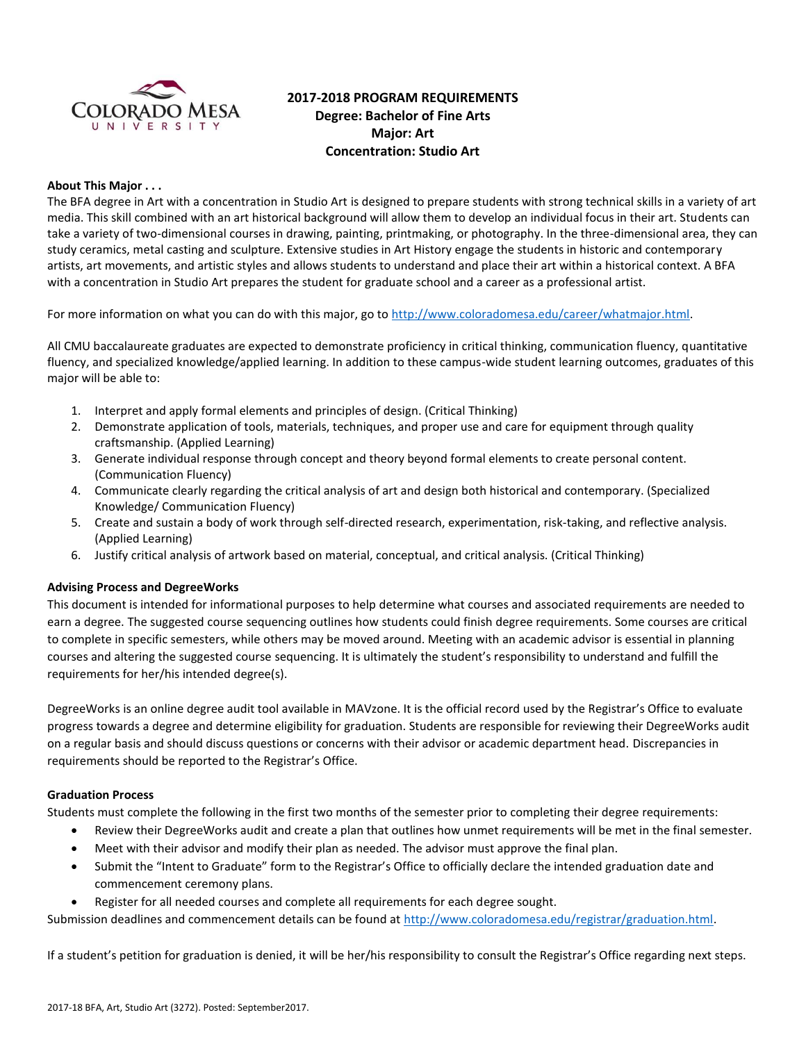

# **2017-2018 PROGRAM REQUIREMENTS Degree: Bachelor of Fine Arts Major: Art Concentration: Studio Art**

# **About This Major . . .**

The BFA degree in Art with a concentration in Studio Art is designed to prepare students with strong technical skills in a variety of art media. This skill combined with an art historical background will allow them to develop an individual focus in their art. Students can take a variety of two-dimensional courses in drawing, painting, printmaking, or photography. In the three-dimensional area, they can study ceramics, metal casting and sculpture. Extensive studies in Art History engage the students in historic and contemporary artists, art movements, and artistic styles and allows students to understand and place their art within a historical context. A BFA with a concentration in Studio Art prepares the student for graduate school and a career as a professional artist.

For more information on what you can do with this major, go t[o http://www.coloradomesa.edu/career/whatmajor.html.](http://www.coloradomesa.edu/career/whatmajor.html)

All CMU baccalaureate graduates are expected to demonstrate proficiency in critical thinking, communication fluency, quantitative fluency, and specialized knowledge/applied learning. In addition to these campus-wide student learning outcomes, graduates of this major will be able to:

- 1. Interpret and apply formal elements and principles of design. (Critical Thinking)
- 2. Demonstrate application of tools, materials, techniques, and proper use and care for equipment through quality craftsmanship. (Applied Learning)
- 3. Generate individual response through concept and theory beyond formal elements to create personal content. (Communication Fluency)
- 4. Communicate clearly regarding the critical analysis of art and design both historical and contemporary. (Specialized Knowledge/ Communication Fluency)
- 5. Create and sustain a body of work through self-directed research, experimentation, risk-taking, and reflective analysis. (Applied Learning)
- 6. Justify critical analysis of artwork based on material, conceptual, and critical analysis. (Critical Thinking)

### **Advising Process and DegreeWorks**

This document is intended for informational purposes to help determine what courses and associated requirements are needed to earn a degree. The suggested course sequencing outlines how students could finish degree requirements. Some courses are critical to complete in specific semesters, while others may be moved around. Meeting with an academic advisor is essential in planning courses and altering the suggested course sequencing. It is ultimately the student's responsibility to understand and fulfill the requirements for her/his intended degree(s).

DegreeWorks is an online degree audit tool available in MAVzone. It is the official record used by the Registrar's Office to evaluate progress towards a degree and determine eligibility for graduation. Students are responsible for reviewing their DegreeWorks audit on a regular basis and should discuss questions or concerns with their advisor or academic department head. Discrepancies in requirements should be reported to the Registrar's Office.

### **Graduation Process**

Students must complete the following in the first two months of the semester prior to completing their degree requirements:

- Review their DegreeWorks audit and create a plan that outlines how unmet requirements will be met in the final semester.
- Meet with their advisor and modify their plan as needed. The advisor must approve the final plan.
- Submit the "Intent to Graduate" form to the Registrar's Office to officially declare the intended graduation date and commencement ceremony plans.
- Register for all needed courses and complete all requirements for each degree sought.

Submission deadlines and commencement details can be found at [http://www.coloradomesa.edu/registrar/graduation.html.](http://www.coloradomesa.edu/registrar/graduation.html)

If a student's petition for graduation is denied, it will be her/his responsibility to consult the Registrar's Office regarding next steps.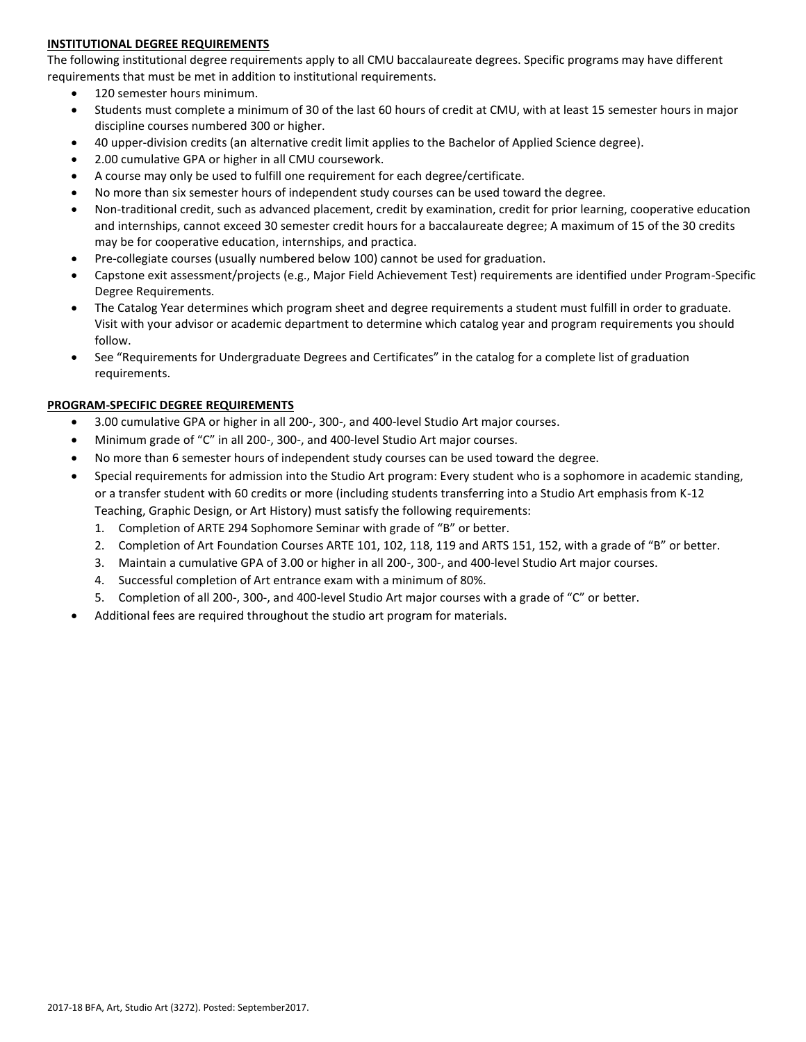# **INSTITUTIONAL DEGREE REQUIREMENTS**

The following institutional degree requirements apply to all CMU baccalaureate degrees. Specific programs may have different requirements that must be met in addition to institutional requirements.

- 120 semester hours minimum.
- Students must complete a minimum of 30 of the last 60 hours of credit at CMU, with at least 15 semester hours in major discipline courses numbered 300 or higher.
- 40 upper-division credits (an alternative credit limit applies to the Bachelor of Applied Science degree).
- 2.00 cumulative GPA or higher in all CMU coursework.
- A course may only be used to fulfill one requirement for each degree/certificate.
- No more than six semester hours of independent study courses can be used toward the degree.
- Non-traditional credit, such as advanced placement, credit by examination, credit for prior learning, cooperative education and internships, cannot exceed 30 semester credit hours for a baccalaureate degree; A maximum of 15 of the 30 credits may be for cooperative education, internships, and practica.
- Pre-collegiate courses (usually numbered below 100) cannot be used for graduation.
- Capstone exit assessment/projects (e.g., Major Field Achievement Test) requirements are identified under Program-Specific Degree Requirements.
- The Catalog Year determines which program sheet and degree requirements a student must fulfill in order to graduate. Visit with your advisor or academic department to determine which catalog year and program requirements you should follow.
- See "Requirements for Undergraduate Degrees and Certificates" in the catalog for a complete list of graduation requirements.

# **PROGRAM-SPECIFIC DEGREE REQUIREMENTS**

- 3.00 cumulative GPA or higher in all 200-, 300-, and 400-level Studio Art major courses.
- Minimum grade of "C" in all 200-, 300-, and 400-level Studio Art major courses.
- No more than 6 semester hours of independent study courses can be used toward the degree.
- Special requirements for admission into the Studio Art program: Every student who is a sophomore in academic standing, or a transfer student with 60 credits or more (including students transferring into a Studio Art emphasis from K-12 Teaching, Graphic Design, or Art History) must satisfy the following requirements:
	- 1. Completion of ARTE 294 Sophomore Seminar with grade of "B" or better.
	- 2. Completion of Art Foundation Courses ARTE 101, 102, 118, 119 and ARTS 151, 152, with a grade of "B" or better.
	- 3. Maintain a cumulative GPA of 3.00 or higher in all 200-, 300-, and 400-level Studio Art major courses.
	- 4. Successful completion of Art entrance exam with a minimum of 80%.
	- 5. Completion of all 200-, 300-, and 400-level Studio Art major courses with a grade of "C" or better.
- Additional fees are required throughout the studio art program for materials.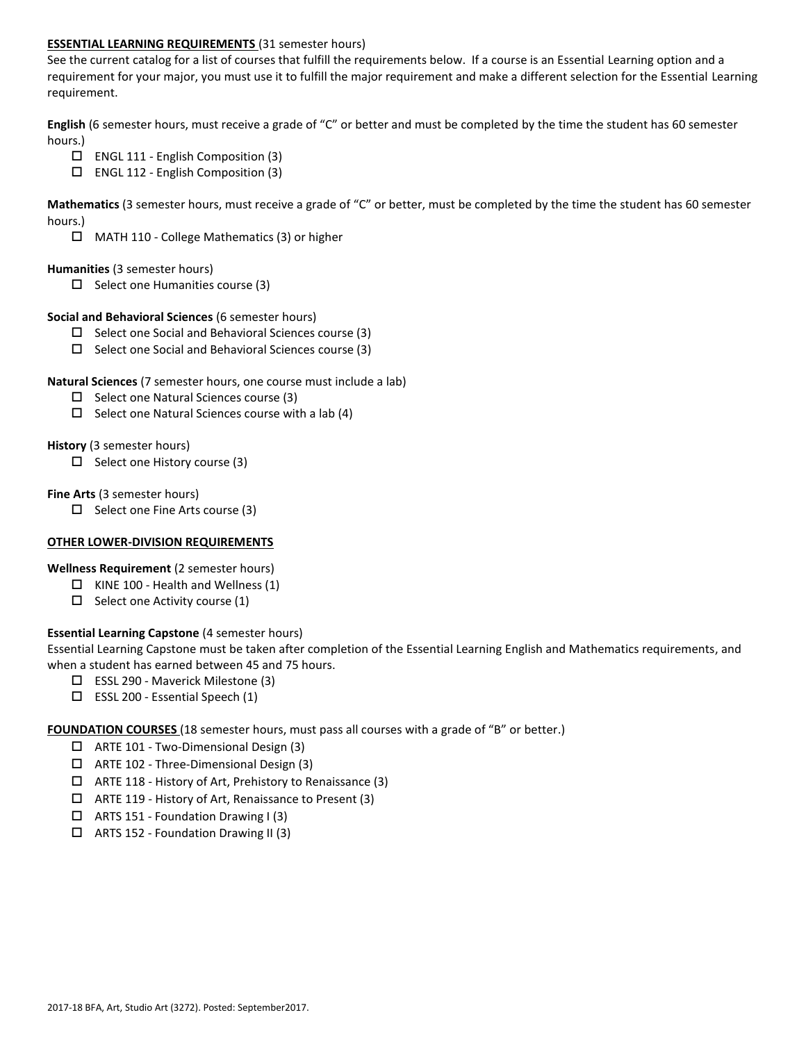# **ESSENTIAL LEARNING REQUIREMENTS** (31 semester hours)

See the current catalog for a list of courses that fulfill the requirements below. If a course is an Essential Learning option and a requirement for your major, you must use it to fulfill the major requirement and make a different selection for the Essential Learning requirement.

**English** (6 semester hours, must receive a grade of "C" or better and must be completed by the time the student has 60 semester hours.)

- ENGL 111 English Composition (3)
- $\Box$  ENGL 112 English Composition (3)

**Mathematics** (3 semester hours, must receive a grade of "C" or better, must be completed by the time the student has 60 semester hours.)

MATH 110 - College Mathematics (3) or higher

### **Humanities** (3 semester hours)

 $\Box$  Select one Humanities course (3)

### **Social and Behavioral Sciences** (6 semester hours)

- $\Box$  Select one Social and Behavioral Sciences course (3)
- $\Box$  Select one Social and Behavioral Sciences course (3)

# **Natural Sciences** (7 semester hours, one course must include a lab)

- $\square$  Select one Natural Sciences course (3)
- $\Box$  Select one Natural Sciences course with a lab (4)

# **History** (3 semester hours)

 $\Box$  Select one History course (3)

# **Fine Arts** (3 semester hours)

 $\Box$  Select one Fine Arts course (3)

### **OTHER LOWER-DIVISION REQUIREMENTS**

**Wellness Requirement** (2 semester hours)

- $\Box$  KINE 100 Health and Wellness (1)
- $\Box$  Select one Activity course (1)

# **Essential Learning Capstone** (4 semester hours)

Essential Learning Capstone must be taken after completion of the Essential Learning English and Mathematics requirements, and when a student has earned between 45 and 75 hours.

- ESSL 290 Maverick Milestone (3)
- $\square$  ESSL 200 Essential Speech (1)

**FOUNDATION COURSES** (18 semester hours, must pass all courses with a grade of "B" or better.)

- ARTE 101 Two-Dimensional Design (3)
- ARTE 102 Three-Dimensional Design (3)
- $\Box$  ARTE 118 History of Art, Prehistory to Renaissance (3)
- $\Box$  ARTE 119 History of Art, Renaissance to Present (3)
- $\Box$  ARTS 151 Foundation Drawing I (3)
- ARTS 152 Foundation Drawing II (3)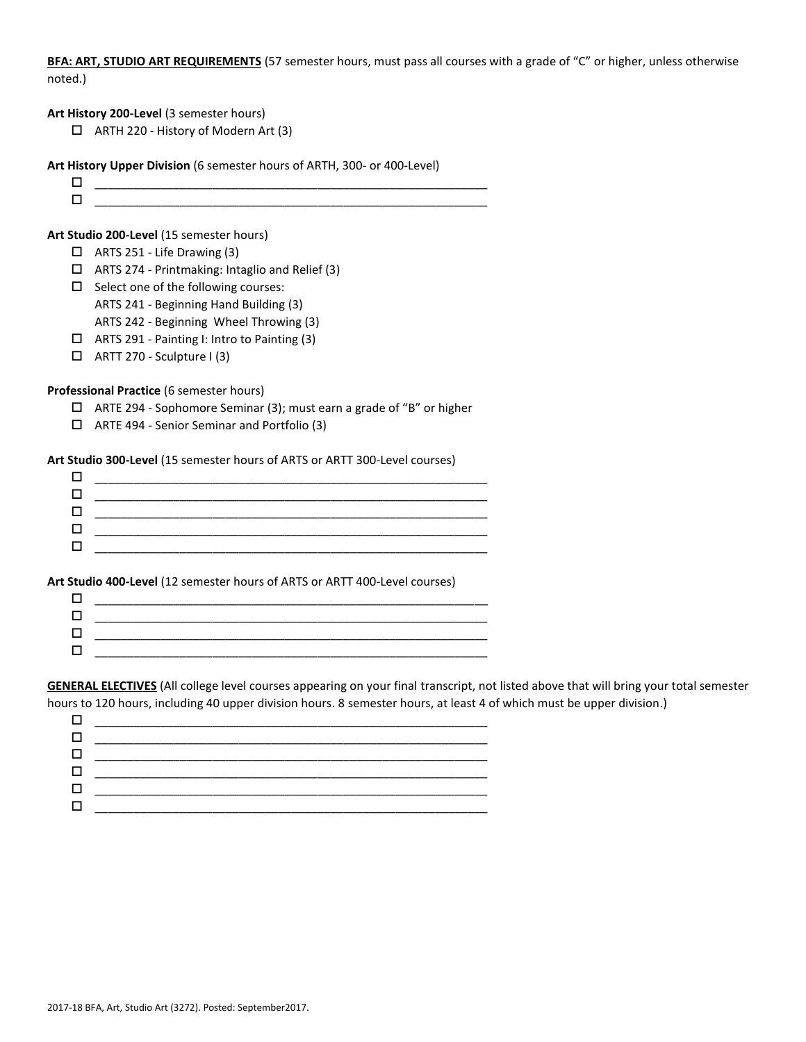**BFA: ART, STUDIO ART REQUIREMENTS** (57 semester hours, must pass all courses with a grade of "C" or higher, unless otherwise noted.)

### **Art History 200-Level** (3 semester hours)

ARTH 220 - History of Modern Art (3)

#### **Art History Upper Division** (6 semester hours of ARTH, 300- or 400-Level)

 $\Box$   $\underline{\hspace{1cm}}$   $\underline{\hspace{1cm}}$   $\underline{\hspace{1cm}}$   $\underline{\hspace{1cm}}$   $\overline{\hspace{1cm}}$   $\overline{\hspace{1cm}}$   $\overline{\hspace{1cm}}$   $\overline{\hspace{1cm}}$   $\overline{\hspace{1cm}}$   $\overline{\hspace{1cm}}$   $\overline{\hspace{1cm}}$   $\overline{\hspace{1cm}}$   $\overline{\hspace{1cm}}$   $\overline{\hspace{1cm}}$   $\overline{\hspace{1cm}}$   $\overline{\hspace{1cm}}$   $\overline{\hspace{1$  $\Box$  , and the contract of the contract of the contract of the contract of the contract of the contract of the contract of the contract of the contract of the contract of the contract of the contract of the contract of th

#### **Art Studio 200-Level** (15 semester hours)

- ARTS 251 Life Drawing (3)
- $\Box$  ARTS 274 Printmaking: Intaglio and Relief (3)
- $\square$  Select one of the following courses:
	- ARTS 241 Beginning Hand Building (3)
- ARTS 242 Beginning Wheel Throwing (3)
- ARTS 291 Painting I: Intro to Painting (3)
- $\Box$  ARTT 270 Sculpture I (3)

#### **Professional Practice** (6 semester hours)

- ARTE 294 Sophomore Seminar (3); must earn a grade of "B" or higher
- ARTE 494 Senior Seminar and Portfolio (3)

#### **Art Studio 300-Level** (15 semester hours of ARTS or ARTT 300-Level courses)

| _____    |  |
|----------|--|
|          |  |
| ________ |  |
|          |  |
|          |  |

#### **Art Studio 400-Level** (12 semester hours of ARTS or ARTT 400-Level courses)

**GENERAL ELECTIVES** (All college level courses appearing on your final transcript, not listed above that will bring your total semester hours to 120 hours, including 40 upper division hours. 8 semester hours, at least 4 of which must be upper division.)

| _________ |
|-----------|
|           |
|           |
| ________  |